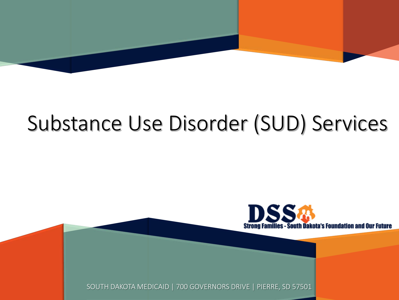

# Substance Use Disorder (SUD) Services



SOUTH DAKOTA MEDICAID | 700 GOVERNORS DRIVE | PIERRE, SD 57501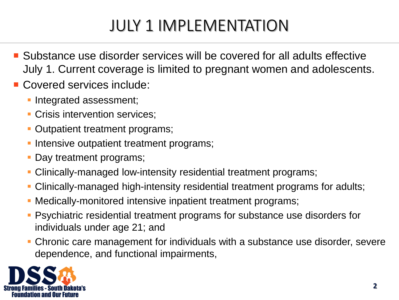## JULY 1 IMPLEMENTATION

- Substance use disorder services will be covered for all adults effective July 1. Current coverage is limited to pregnant women and adolescents.
- Covered services include:
	- **Integrated assessment;**
	- **Crisis intervention services;**
	- Outpatient treatment programs;
	- Intensive outpatient treatment programs;
	- Day treatment programs;
	- Clinically-managed low-intensity residential treatment programs;
	- Clinically-managed high-intensity residential treatment programs for adults;
	- Medically-monitored intensive inpatient treatment programs;
	- Psychiatric residential treatment programs for substance use disorders for individuals under age 21; and
	- Chronic care management for individuals with a substance use disorder, severe dependence, and functional impairments,

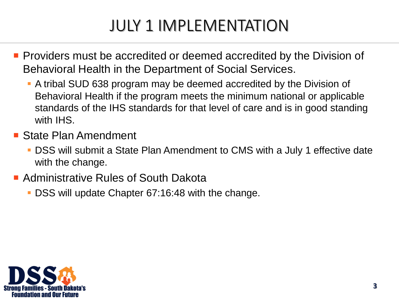### JULY 1 IMPLEMENTATION

- **Providers must be accredited or deemed accredited by the Division of** Behavioral Health in the Department of Social Services.
	- A tribal SUD 638 program may be deemed accredited by the Division of Behavioral Health if the program meets the minimum national or applicable standards of the IHS standards for that level of care and is in good standing with IHS.
- State Plan Amendment
	- DSS will submit a State Plan Amendment to CMS with a July 1 effective date with the change.
- Administrative Rules of South Dakota
	- DSS will update Chapter 67:16:48 with the change.